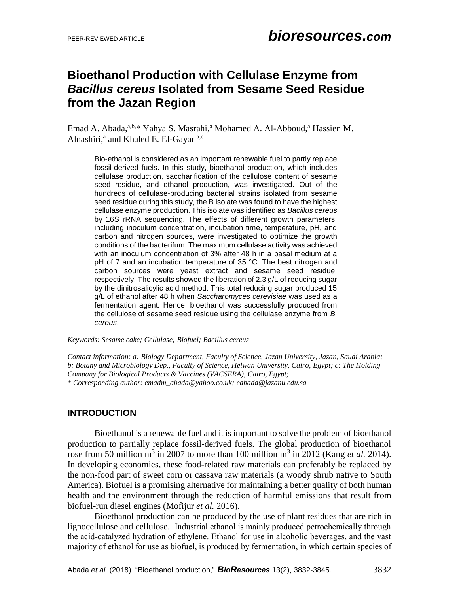# **Bioethanol Production with Cellulase Enzyme from** *Bacillus cereus* **Isolated from Sesame Seed Residue from the Jazan Region**

Emad A. Abada,<sup>a,b,\*</sup> Yahya S. Masrahi,<sup>a</sup> Mohamed A. Al-Abboud,<sup>a</sup> Hassien M. Alnashiri,<sup>a</sup> and Khaled E. El-Gayar<sup>a,c</sup>

Bio-ethanol is considered as an important renewable fuel to partly replace fossil-derived fuels. In this study, bioethanol production, which includes cellulase production, saccharification of the cellulose content of sesame seed residue, and ethanol production, was investigated. Out of the hundreds of cellulase-producing bacterial strains isolated from sesame seed residue during this study, the B isolate was found to have the highest cellulase enzyme production. This isolate was identified as *Bacillus cereus* by 16S rRNA sequencing. The effects of different growth parameters, including inoculum concentration, incubation time, temperature, pH, and carbon and nitrogen sources, were investigated to optimize the growth conditions of the bacterifum. The maximum cellulase activity was achieved with an inoculum concentration of 3% after 48 h in a basal medium at a pH of 7 and an incubation temperature of 35 °C. The best nitrogen and carbon sources were yeast extract and sesame seed residue, respectively. The results showed the liberation of 2.3 g/L of reducing sugar by the dinitrosalicylic acid method. This total reducing sugar produced 15 g/L of ethanol after 48 h when *Saccharomyces cerevisiae* was used as a fermentation agent*.* Hence, bioethanol was successfully produced from the cellulose of sesame seed residue using the cellulase enzyme from *B. cereus*.

*Keywords: Sesame cake; Cellulase; Biofuel; Bacillus cereus*

*Contact information: a: Biology Department, Faculty of Science, Jazan University, Jazan, Saudi Arabia; b: Botany and Microbiology Dep., Faculty of Science, Helwan University, Cairo, Egypt; c: The Holding Company for Biological Products & Vaccines (VACSERA), Cairo, Egypt; \* Corresponding author: emadm\_abada@yahoo.co.uk; eabada@jazanu.edu.sa*

# **INTRODUCTION**

Bioethanol is a renewable fuel and it is important to solve the problem of bioethanol production to partially replace fossil-derived fuels. The global production of bioethanol rose from 50 million m<sup>3</sup> in 2007 to more than 100 million m<sup>3</sup> in 2012 (Kang *et al.* 2014). In developing economies, these food-related raw materials can preferably be replaced by the non-food part of sweet corn or cassava raw materials (a woody shrub native to South America). Biofuel is a promising alternative for maintaining a better quality of both human health and the environment through the reduction of harmful emissions that result from biofuel-run diesel engines (Mofijur *et al.* 2016).

Bioethanol production can be produced by the use of plant residues that are rich in lignocellulose and cellulose. Industrial ethanol is mainly produced petrochemically through the acid-catalyzed hydration of ethylene. Ethanol for use in alcoholic beverages, and the vast majority of ethanol for use as biofuel, is produced by fermentation, in which certain species of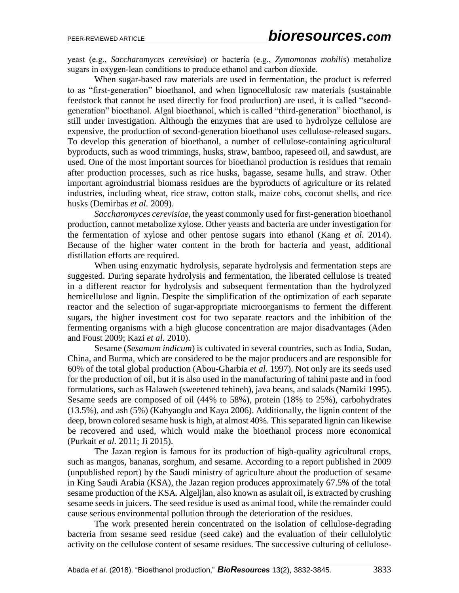yeast (e.g., *Saccharomyces cerevisiae*) or bacteria (e.g., *Zymomonas mobilis*) metabolize sugars in oxygen-lean conditions to produce ethanol and carbon dioxide.

When sugar-based raw materials are used in fermentation, the product is referred to as "first-generation" bioethanol, and when lignocellulosic raw materials (sustainable feedstock that cannot be used directly for food production) are used, it is called "secondgeneration" bioethanol. Algal bioethanol, which is called "third-generation" bioethanol, is still under investigation. Although the enzymes that are used to hydrolyze cellulose are expensive, the production of second-generation bioethanol uses cellulose-released sugars. To develop this generation of bioethanol, a number of cellulose-containing agricultural byproducts, such as wood trimmings, husks, straw, bamboo, rapeseed oil, and sawdust, are used. One of the most important sources for bioethanol production is residues that remain after production processes, such as rice husks, bagasse, sesame hulls, and straw. Other important agroindustrial biomass residues are the byproducts of agriculture or its related industries, including wheat, rice straw, cotton stalk, maize cobs, coconut shells, and rice husks (Demirbas *et al.* 2009).

*Saccharomyces cerevisiae*, the yeast commonly used for first-generation bioethanol production, cannot metabolize xylose. Other yeasts and bacteria are under investigation for the fermentation of xylose and other pentose sugars into ethanol (Kang *et al.* 2014). Because of the higher water content in the broth for bacteria and yeast, additional distillation efforts are required.

When using enzymatic hydrolysis, separate hydrolysis and fermentation steps are suggested. During separate hydrolysis and fermentation, the liberated cellulose is treated in a different reactor for hydrolysis and subsequent fermentation than the hydrolyzed hemicellulose and lignin. Despite the simplification of the optimization of each separate reactor and the selection of sugar-appropriate microorganisms to ferment the different sugars, the higher investment cost for two separate reactors and the inhibition of the fermenting organisms with a high glucose concentration are major disadvantages (Aden and Foust 2009; Kazi *et al.* 2010).

Sesame (*Sesamum indicum*) is cultivated in several countries, such as India, Sudan, China, and Burma, which are considered to be the major producers and are responsible for 60% of the total global production (Abou-Gharbia *et al.* 1997). Not only are its seeds used for the production of oil, but it is also used in the manufacturing of tahini paste and in food formulations, such as Halaweh (sweetened tehineh), java beans, and salads (Namiki 1995). Sesame seeds are composed of oil (44% to 58%), protein (18% to 25%), carbohydrates (13.5%), and ash (5%) (Kahyaoglu and Kaya 2006). Additionally, the lignin content of the deep, brown colored sesame husk is high, at almost 40%. This separated lignin can likewise be recovered and used, which would make the bioethanol process more economical (Purkait *et al.* 2011; Ji 2015).

The Jazan region is famous for its production of high-quality agricultural crops, such as mangos, bananas, sorghum, and sesame. According to a report published in 2009 (unpublished report) by the Saudi ministry of agriculture about the production of sesame in King Saudi Arabia (KSA), the Jazan region produces approximately 67.5% of the total sesame production of the KSA. Algeljlan, also known as asulait oil, is extracted by crushing sesame seeds in juicers. The seed residue is used as animal food, while the remainder could cause serious environmental pollution through the deterioration of the residues.

The work presented herein concentrated on the isolation of cellulose-degrading bacteria from sesame seed residue (seed cake) and the evaluation of their cellulolytic activity on the cellulose content of sesame residues. The successive culturing of cellulose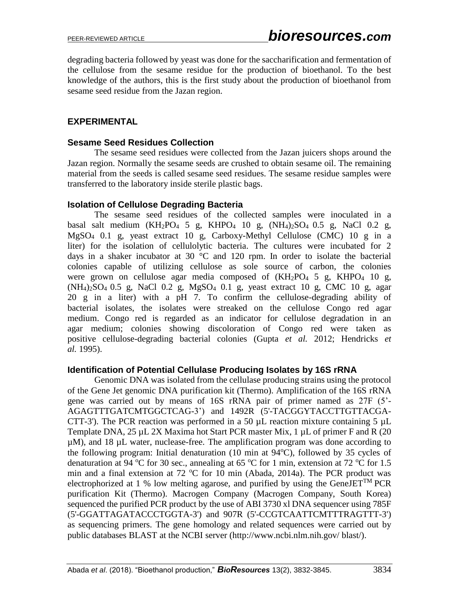degrading bacteria followed by yeast was done for the saccharification and fermentation of the cellulose from the sesame residue for the production of bioethanol. To the best knowledge of the authors, this is the first study about the production of bioethanol from sesame seed residue from the Jazan region.

## **EXPERIMENTAL**

#### **Sesame Seed Residues Collection**

The sesame seed residues were collected from the Jazan juicers shops around the Jazan region. Normally the sesame seeds are crushed to obtain sesame oil. The remaining material from the seeds is called sesame seed residues. The sesame residue samples were transferred to the laboratory inside sterile plastic bags.

#### **Isolation of Cellulose Degrading Bacteria**

The sesame seed residues of the collected samples were inoculated in a basal salt medium  $(KH_2PO_4 5 g, KHPO_4 10 g, (NH_4)_2SO_4 0.5 g, NaCl 0.2 g,$ MgSO<sup>4</sup> 0.1 g, yeast extract 10 g, Carboxy-Methyl Cellulose (CMC) 10 g in a liter) for the isolation of cellulolytic bacteria. The cultures were incubated for 2 days in a shaker incubator at 30  $^{\circ}$ C and 120 rpm. In order to isolate the bacterial colonies capable of utilizing cellulose as sole source of carbon, the colonies were grown on cellulose agar media composed of  $(KH<sub>2</sub>PO<sub>4</sub> 5 g, KHPO<sub>4</sub> 10 g,$  $(NH<sub>4</sub>)<sub>2</sub>SO<sub>4</sub> 0.5 g, NaCl 0.2 g, MgSO<sub>4</sub> 0.1 g, yeast extract 10 g, CMC 10 g, agar$ 20 g in a liter) with a pH 7. To confirm the cellulose-degrading ability of bacterial isolates, the isolates were streaked on the cellulose Congo red agar medium. Congo red is regarded as an indicator for cellulose degradation in an agar medium; colonies showing discoloration of Congo red were taken as positive cellulose-degrading bacterial colonies (Gupta *et al.* 2012; Hendricks *et al.* 1995).

#### **Identification of Potential Cellulase Producing Isolates by 16S rRNA**

Genomic DNA was isolated from the cellulase producing strains using the protocol of the Gene Jet genomic DNA purification kit (Thermo). Amplification of the 16S rRNA gene was carried out by means of 16S rRNA pair of primer named as 27F (5'- AGAGTTTGATCMTGGCTCAG-3') and 1492R (5'-TACGGYTACCTTGTTACGA-CTT-3'). The PCR reaction was performed in a 50  $\mu$ L reaction mixture containing 5  $\mu$ L Template DNA, 25 µL 2X Maxima hot Start PCR master Mix, 1 µL of primer F and R (20) µM), and 18 µL water, nuclease-free. The amplification program was done according to the following program: Initial denaturation  $(10 \text{ min at } 94^{\circ}\text{C})$ , followed by 35 cycles of denaturation at 94 °C for 30 sec., annealing at 65 °C for 1 min, extension at 72 °C for 1.5 min and a final extension at 72  $^{\circ}$ C for 10 min (Abada, 2014a). The PCR product was electrophorized at 1 % low melting agarose, and purified by using the GeneJET<sup>TM</sup> PCR purification Kit (Thermo). Macrogen Company (Macrogen Company, South Korea) sequenced the purified PCR product by the use of ABI 3730 xl DNA sequencer using 785F (5'-GGATTAGATACCCTGGTA-3') and 907R (5'-CCGTCAATTCMTTTRAGTTT-3') as sequencing primers. The gene homology and related sequences were carried out by public databases BLAST at the NCBI server (http:/[/www.ncbi.nlm.nih.](http://www.ncbi.nlm.nih/)gov/ blast/).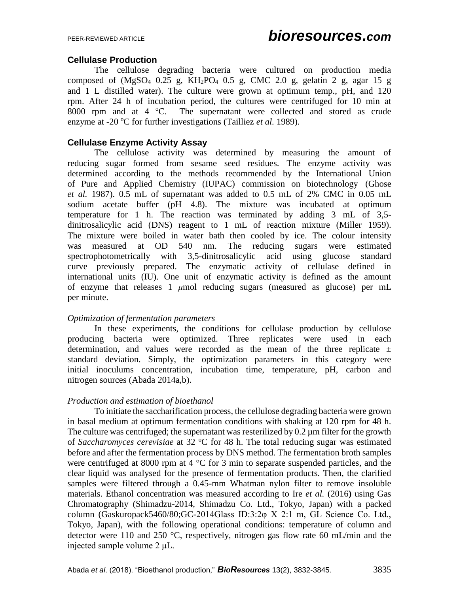## **Cellulase Production**

The cellulose degrading bacteria were cultured on production media composed of  $(MgSO_4 \t0.25 g, KH<sub>2</sub>PO<sub>4</sub> 0.5 g, CMC 2.0 g, gelatin 2 g, agar 15 g)$ and 1 L distilled water). The culture were grown at optimum temp., pH, and 120 rpm. After 24 h of incubation period, the cultures were centrifuged for 10 min at 8000 rpm and at 4  $^{\circ}$ C. The supernatant were collected and stored as crude enzyme at -20 °C for further investigations (Tailliez *et al.* 1989).

## **Cellulase Enzyme Activity Assay**

The cellulose activity was determined by measuring the amount of reducing sugar formed from sesame seed residues. The enzyme activity was determined according to the methods recommended by the International Union of Pure and Applied Chemistry (IUPAC) commission on biotechnology (Ghose *et al.* 1987). 0.5 mL of supernatant was added to 0.5 mL of 2% CMC in 0.05 mL sodium acetate buffer (pH 4.8). The mixture was incubated at optimum temperature for 1 h. The reaction was terminated by adding 3 mL of 3,5 dinitrosalicylic acid (DNS) reagent to 1 mL of reaction mixture (Miller 1959). The mixture were boiled in water bath then cooled by ice. The colour intensity was measured at OD 540 nm. The reducing sugars were estimated spectrophotometrically with 3,5-dinitrosalicylic acid using glucose standard curve previously prepared. The enzymatic activity of cellulase defined in international units (IU). One unit of enzymatic activity is defined as the amount of enzyme that releases 1 *μ*mol reducing sugars (measured as glucose) per mL per minute.

## *Optimization of fermentation parameters*

In these experiments, the conditions for cellulase production by cellulose producing bacteria were optimized. Three replicates were used in each determination, and values were recorded as the mean of the three replicate  $\pm$ standard deviation. Simply, the optimization parameters in this category were initial inoculums concentration, incubation time, temperature, pH, carbon and nitrogen sources (Abada 2014a,b).

## *Production and estimation of bioethanol*

To initiate the saccharification process, the cellulose degrading bacteria were grown in basal medium at optimum fermentation conditions with shaking at 120 rpm for 48 h. The culture was centrifuged; the supernatant was resterilized by  $0.2 \mu$ m filter for the growth of *Saccharomyces cerevisiae* at 32 °C for 48 h. The total reducing sugar was estimated before and after the fermentation process by DNS method. The fermentation broth samples were centrifuged at 8000 rpm at 4 °C for 3 min to separate suspended particles, and the clear liquid was analysed for the presence of fermentation products. Then, the clarified samples were filtered through a 0.45-mm Whatman nylon filter to remove insoluble materials. Ethanol concentration was measured according to Ire *et al.* (2016**)** using Gas Chromatography (Shimadzu-2014, Shimadzu Co. Ltd., Tokyo, Japan) with a packed column (Gaskuropack5460/80;GC-2014Glass ID:3:2φ X 2:1 m, GL Science Co. Ltd., Tokyo, Japan), with the following operational conditions: temperature of column and detector were 110 and 250 °C, respectively, nitrogen gas flow rate 60 mL/min and the injected sample volume 2 μL.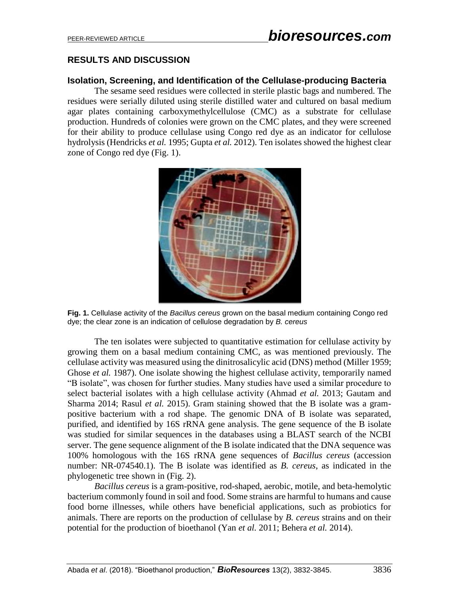# **RESULTS AND DISCUSSION**

#### **Isolation, Screening, and Identification of the Cellulase-producing Bacteria**

The sesame seed residues were collected in sterile plastic bags and numbered. The residues were serially diluted using sterile distilled water and cultured on basal medium agar plates containing carboxymethylcellulose (CMC) as a substrate for cellulase production. Hundreds of colonies were grown on the CMC plates, and they were screened for their ability to produce cellulase using Congo red dye as an indicator for cellulose hydrolysis (Hendricks *et al.* 1995; Gupta *et al.* 2012). Ten isolates showed the highest clear zone of Congo red dye (Fig. 1).



**Fig. 1.** Cellulase activity of the *Bacillus cereus* grown on the basal medium containing Congo red dye; the clear zone is an indication of cellulose degradation by *B. cereus*

The ten isolates were subjected to quantitative estimation for cellulase activity by growing them on a basal medium containing CMC, as was mentioned previously. The cellulase activity was measured using the dinitrosalicylic acid (DNS) method (Miller 1959; Ghose *et al.* 1987). One isolate showing the highest cellulase activity, temporarily named "B isolate", was chosen for further studies. Many studies have used a similar procedure to select bacterial isolates with a high cellulase activity (Ahmad *et al.* 2013; Gautam and Sharma 2014; Rasul *et al.* 2015). Gram staining showed that the B isolate was a grampositive bacterium with a rod shape. The genomic DNA of B isolate was separated, purified, and identified by 16S rRNA gene analysis. The gene sequence of the B isolate was studied for similar sequences in the databases using a BLAST search of the NCBI server. The gene sequence alignment of the B isolate indicated that the DNA sequence was 100% homologous with the 16S rRNA gene sequences of *Bacillus cereus* (accession number: NR-074540.1). The B isolate was identified as *B. cereus*, as indicated in the phylogenetic tree shown in (Fig. 2).

*Bacillus cereus* is a gram-positive, rod-shaped, aerobic, motile, and beta-hemolytic bacterium commonly found in soil and food. Some strains are harmful to humans and cause food borne illnesses, while others have beneficial applications, such as probiotics for animals. There are reports on the production of cellulase by *B. cereus* strains and on their potential for the production of bioethanol (Yan *et al.* 2011; Behera *et al.* 2014).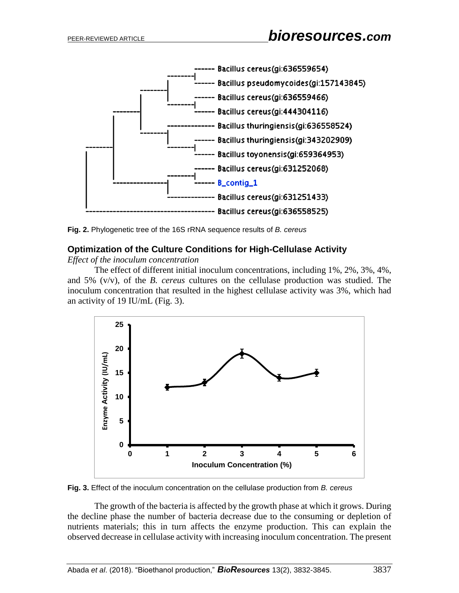

**Fig. 2.** Phylogenetic tree of the 16S rRNA sequence results of *B. cereus*

## **Optimization of the Culture Conditions for High-Cellulase Activity**

*Effect of the inoculum concentration*

The effect of different initial inoculum concentrations, including 1%, 2%, 3%, 4%, and 5% (v/v), of the *B. cereus* cultures on the cellulase production was studied. The inoculum concentration that resulted in the highest cellulase activity was 3%, which had an activity of 19 IU/mL (Fig. 3).



**Fig. 3.** Effect of the inoculum concentration on the cellulase production from *B. cereus*

The growth of the bacteria is affected by the growth phase at which it grows. During the decline phase the number of bacteria decrease due to the consuming or depletion of nutrients materials; this in turn affects the enzyme production. This can explain the observed decrease in cellulase activity with increasing inoculum concentration. The present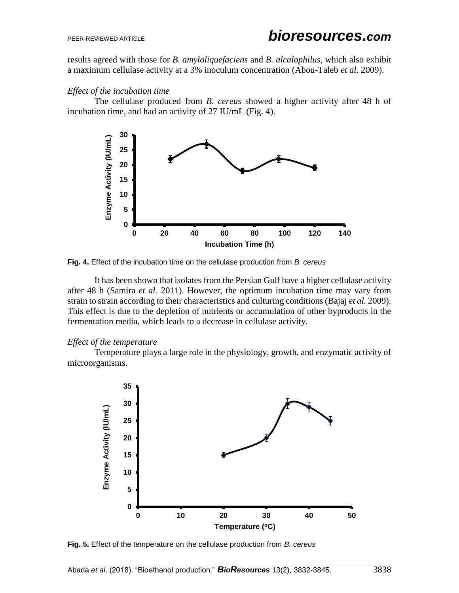results agreed with those for *B. amyloliquefaciens* and *B. alcalophilus*, which also exhibit a maximum cellulase activity at a 3% inoculum concentration (Abou-Taleb *et al.* 2009).

#### *Effect of the incubation time*

The cellulase produced from *B. cereus* showed a higher activity after 48 h of incubation time, and had an activity of 27 IU/mL (Fig. 4).



**Fig. 4.** Effect of the incubation time on the cellulase production from *B. cereus*

It has been shown that isolates from the Persian Gulf have a higher cellulase activity after 48 h (Samira *et al.* 2011). However, the optimum incubation time may vary from strain to strain according to their characteristics and culturing conditions (Bajaj *et al.* 2009). This effect is due to the depletion of nutrients or accumulation of other byproducts in the fermentation media, which leads to a decrease in cellulase activity.

## *Effect of the temperature*

Temperature plays a large role in the physiology, growth, and enzymatic activity of microorganisms.



**Fig. 5.** Effect of the temperature on the cellulase production from *B. cereus*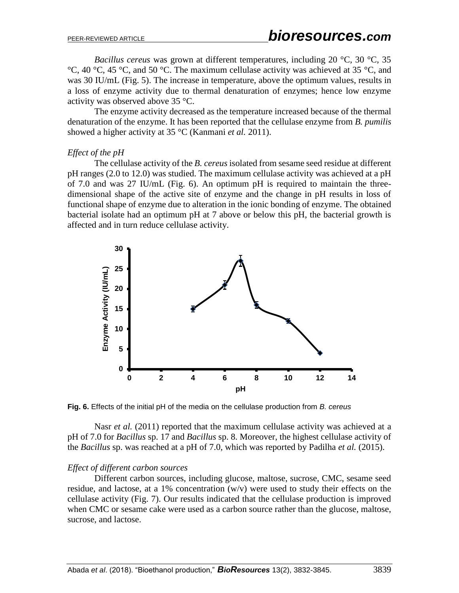*Bacillus cereus* was grown at different temperatures, including 20 °C, 30 °C, 35 °C, 40 °C, 45 °C, and 50 °C. The maximum cellulase activity was achieved at 35 °C, and was 30 IU/mL (Fig. 5). The increase in temperature, above the optimum values, results in a loss of enzyme activity due to thermal denaturation of enzymes; hence low enzyme activity was observed above 35 °C.

The enzyme activity decreased as the temperature increased because of the thermal denaturation of the enzyme. It has been reported that the cellulase enzyme from *B. pumilis* showed a higher activity at 35 °C (Kanmani *et al.* 2011).

#### *Effect of the pH*

The cellulase activity of the *B. cereus* isolated from sesame seed residue at different pH ranges (2.0 to 12.0) was studied. The maximum cellulase activity was achieved at a pH of 7.0 and was 27 IU/mL (Fig. 6). An optimum pH is required to maintain the threedimensional shape of the active site of enzyme and the change in pH results in loss of functional shape of enzyme due to alteration in the ionic bonding of enzyme. The obtained bacterial isolate had an optimum pH at 7 above or below this pH, the bacterial growth is affected and in turn reduce cellulase activity.



**Fig. 6.** Effects of the initial pH of the media on the cellulase production from *B. cereus*

Nasr *et al.* (2011) reported that the maximum cellulase activity was achieved at a pH of 7.0 for *Bacillus* sp. 17 and *Bacillus* sp. 8. Moreover, the highest cellulase activity of the *Bacillus* sp. was reached at a pH of 7.0, which was reported by Padilha *et al.* (2015).

#### *Effect of different carbon sources*

Different carbon sources, including glucose, maltose, sucrose, CMC, sesame seed residue, and lactose, at a 1% concentration  $(w/v)$  were used to study their effects on the cellulase activity (Fig. 7). Our results indicated that the cellulase production is improved when CMC or sesame cake were used as a carbon source rather than the glucose, maltose, sucrose, and lactose.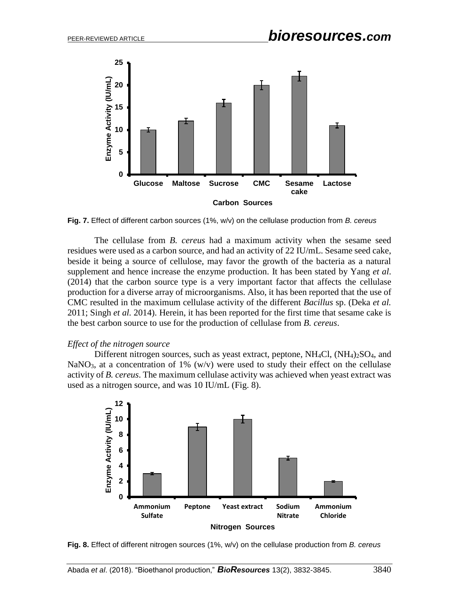



The cellulase from *B. cereus* had a maximum activity when the sesame seed residues were used as a carbon source, and had an activity of 22 IU/mL. Sesame seed cake, beside it being a source of cellulose, may favor the growth of the bacteria as a natural supplement and hence increase the enzyme production. It has been stated by Yang *et al*. (2014) that the carbon source type is a very important factor that affects the cellulase production for a diverse array of microorganisms. Also, it has been reported that the use of CMC resulted in the maximum cellulase activity of the different *Bacillus* sp. (Deka *et al.* 2011; Singh *et al.* 2014). Herein, it has been reported for the first time that sesame cake is the best carbon source to use for the production of cellulase from *B. cereus*.

#### *Effect of the nitrogen source*

Different nitrogen sources, such as yeast extract, peptone, NH<sub>4</sub>Cl, (NH<sub>4</sub>)<sub>2</sub>SO<sub>4</sub>, and NaNO<sub>3</sub>, at a concentration of 1%  $(w/v)$  were used to study their effect on the cellulase activity of *B. cereus*. The maximum cellulase activity was achieved when yeast extract was used as a nitrogen source, and was 10 IU/mL (Fig. 8).



**Fig. 8.** Effect of different nitrogen sources (1%, w/v) on the cellulase production from *B. cereus*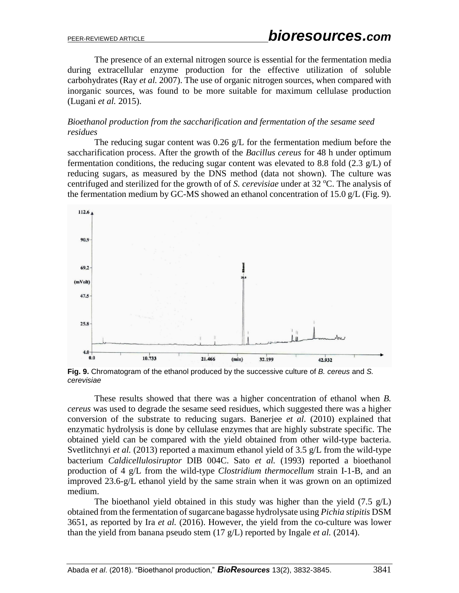The presence of an external nitrogen source is essential for the fermentation media during extracellular enzyme production for the effective utilization of soluble carbohydrates (Ray *et al.* 2007). The use of organic nitrogen sources, when compared with inorganic sources, was found to be more suitable for maximum cellulase production (Lugani *et al.* 2015).

## *Bioethanol production from the saccharification and fermentation of the sesame seed residues*

The reducing sugar content was 0.26 g/L for the fermentation medium before the saccharification process. After the growth of the *Bacillus cereus* for 48 h under optimum fermentation conditions, the reducing sugar content was elevated to 8.8 fold (2.3 g/L) of reducing sugars, as measured by the DNS method (data not shown). The culture was centrifuged and sterilized for the growth of of *S. cerevisiae* under at 32 °C. The analysis of the fermentation medium by GC-MS showed an ethanol concentration of 15.0 g/L (Fig. 9).



**Fig. 9.** Chromatogram of the ethanol produced by the successive culture of *B. cereus* and *S. cerevisiae*

These results showed that there was a higher concentration of ethanol when *B. cereus* was used to degrade the sesame seed residues, which suggested there was a higher conversion of the substrate to reducing sugars. Banerjee *et al.* (2010) explained that enzymatic hydrolysis is done by cellulase enzymes that are highly substrate specific. The obtained yield can be compared with the yield obtained from other wild-type bacteria. Svetlitchnyi *et al.* (2013) reported a maximum ethanol yield of 3.5 g/L from the wild-type bacterium *Caldicellulosiruptor* DIB 004C. Sato *et al.* (1993) reported a bioethanol production of 4 g/L from the wild-type *Clostridium thermocellum* strain I-1-B, and an improved 23.6-g/L ethanol yield by the same strain when it was grown on an optimized medium.

The bioethanol yield obtained in this study was higher than the yield  $(7.5 \text{ g/L})$ obtained from the fermentation of sugarcane bagasse hydrolysate using *Pichia stipitis* DSM 3651, as reported by Ira *et al.* (2016). However, the yield from the co-culture was lower than the yield from banana pseudo stem (17 g/L) reported by Ingale *et al.* (2014).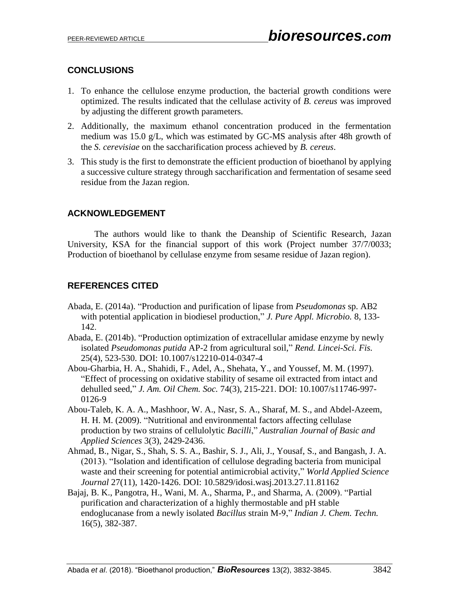# **CONCLUSIONS**

- 1. To enhance the cellulose enzyme production, the bacterial growth conditions were optimized. The results indicated that the cellulase activity of *B. cereus* was improved by adjusting the different growth parameters.
- 2. Additionally, the maximum ethanol concentration produced in the fermentation medium was 15.0 g/L, which was estimated by GC-MS analysis after 48h growth of the *S. cerevisiae* on the saccharification process achieved by *B. cereus*.
- 3. This study is the first to demonstrate the efficient production of bioethanol by applying a successive culture strategy through saccharification and fermentation of sesame seed residue from the Jazan region.

# **ACKNOWLEDGEMENT**

The authors would like to thank the Deanship of Scientific Research, Jazan University, KSA for the financial support of this work (Project number 37/7/0033; Production of bioethanol by cellulase enzyme from sesame residue of Jazan region).

# **REFERENCES CITED**

- Abada, E. (2014a). "Production and purification of lipase from *Pseudomonas* sp. AB2 with potential application in biodiesel production," *J. Pure Appl. Microbio.* 8, 133- 142.
- Abada, E. (2014b). "Production optimization of extracellular amidase enzyme by newly isolated *Pseudomonas putida* AP-2 from agricultural soil," *Rend. Lincei-Sci. Fis.* 25(4), 523-530. DOI: 10.1007/s12210-014-0347-4
- Abou-Gharbia, H. A., Shahidi, F., Adel, A., Shehata, Y., and Youssef, M. M. (1997). "Effect of processing on oxidative stability of sesame oil extracted from intact and dehulled seed," *J. Am. Oil Chem. Soc.* 74(3), 215-221. DOI: 10.1007/s11746-997- 0126-9
- Abou-Taleb, K. A. A., Mashhoor, W. A., Nasr, S. A., Sharaf, M. S., and Abdel-Azeem, H. H. M. (2009). "Nutritional and environmental factors affecting cellulase production by two strains of cellulolytic *Bacilli*," *Australian Journal of Basic and Applied Sciences* 3(3), 2429-2436.
- Ahmad, B., Nigar, S., Shah, S. S. A., Bashir, S. J., Ali, J., Yousaf, S., and Bangash, J. A. (2013). "Isolation and identification of cellulose degrading bacteria from municipal waste and their screening for potential antimicrobial activity," *World Applied Science Journal* 27(11), 1420-1426. DOI: 10.5829/idosi.wasj.2013.27.11.81162
- Bajaj, B. K., Pangotra, H., Wani, M. A., Sharma, P., and Sharma, A. (2009). "Partial purification and characterization of a highly thermostable and pH stable endoglucanase from a newly isolated *Bacillus* strain M-9," *Indian J. Chem. Techn.* 16(5), 382-387.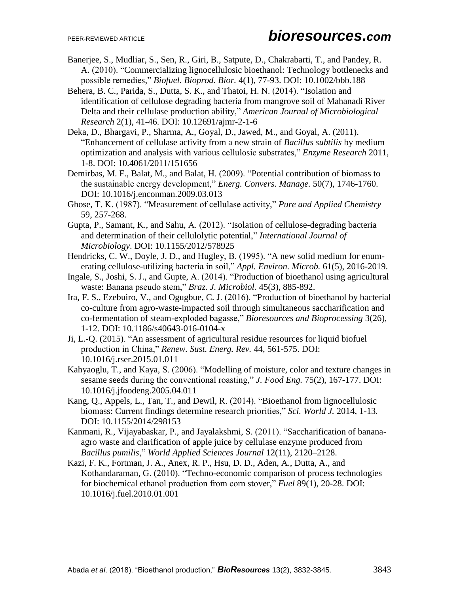- Banerjee, S., Mudliar, S., Sen, R., Giri, B., Satpute, D., Chakrabarti, T., and Pandey, R. A. (2010). "Commercializing lignocellulosic bioethanol: Technology bottlenecks and possible remedies," *Biofuel. Bioprod. Bior.* 4(1), 77-93. DOI: 10.1002/bbb.188
- Behera, B. C., Parida, S., Dutta, S. K., and Thatoi, H. N. (2014). "Isolation and identification of cellulose degrading bacteria from mangrove soil of Mahanadi River Delta and their cellulase production ability," *American Journal of Microbiological Research* 2(1), 41-46. DOI: 10.12691/ajmr-2-1-6
- Deka, D., Bhargavi, P., Sharma, A., Goyal, D., Jawed, M., and Goyal, A. (2011). "Enhancement of cellulase activity from a new strain of *Bacillus subtilis* by medium optimization and analysis with various cellulosic substrates," *Enzyme Research* 2011, 1-8. DOI: 10.4061/2011/151656
- Demirbas, M. F., Balat, M., and Balat, H. (2009). "Potential contribution of biomass to the sustainable energy development," *Energ. Convers. Manage.* 50(7), 1746-1760. DOI: 10.1016/j.enconman.2009.03.013
- Ghose, T. K. (1987). "Measurement of cellulase activity," *Pure and Applied Chemistry* 59, 257-268.
- Gupta, P., Samant, K., and Sahu, A. (2012). "Isolation of cellulose-degrading bacteria and determination of their cellulolytic potential," *International Journal of Microbiology*. DOI: 10.1155/2012/578925
- Hendricks, C. W., Doyle, J. D., and Hugley, B. (1995). "A new solid medium for enumerating cellulose-utilizing bacteria in soil," *Appl. Environ. Microb.* 61(5), 2016-2019.
- Ingale, S., Joshi, S. J., and Gupte, A. (2014). "Production of bioethanol using agricultural waste: Banana pseudo stem," *Braz. J. Microbiol.* 45(3), 885-892.
- Ira, F. S., Ezebuiro, V., and Ogugbue, C. J. (2016). "Production of bioethanol by bacterial co-culture from agro-waste-impacted soil through simultaneous saccharification and co-fermentation of steam-exploded bagasse," *Bioresources and Bioprocessing* 3(26), 1-12. DOI: 10.1186/s40643-016-0104-x
- Ji, L.-Q. (2015). "An assessment of agricultural residue resources for liquid biofuel production in China," *Renew. Sust. Energ. Rev.* 44, 561-575. DOI: 10.1016/j.rser.2015.01.011
- Kahyaoglu, T., and Kaya, S. (2006). "Modelling of moisture, color and texture changes in sesame seeds during the conventional roasting," *J. Food Eng.* 75(2), 167-177. DOI: 10.1016/j.jfoodeng.2005.04.011
- Kang, Q., Appels, L., Tan, T., and Dewil, R. (2014). "Bioethanol from lignocellulosic biomass: Current findings determine research priorities," *Sci. World J.* 2014, 1-13*.* DOI: 10.1155/2014/298153
- Kanmani, R., Vijayabaskar, P., and Jayalakshmi, S. (2011). "Saccharification of bananaagro waste and clarification of apple juice by cellulase enzyme produced from *Bacillus pumilis*," *World Applied Sciences Journal* 12(11), 2120–2128.
- Kazi, F. K., Fortman, J. A., Anex, R. P., Hsu, D. D., Aden, A., Dutta, A., and Kothandaraman, G. (2010). "Techno-economic comparison of process technologies for biochemical ethanol production from corn stover," *Fuel* 89(1), 20-28. DOI: 10.1016/j.fuel.2010.01.001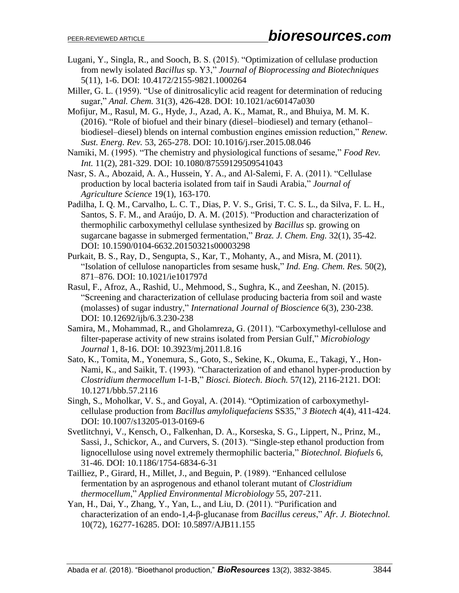- Lugani, Y., Singla, R., and Sooch, B. S. (2015). "Optimization of cellulase production from newly isolated *Bacillus* sp. Y3," *Journal of Bioprocessing and Biotechniques* 5(11), 1-6. DOI: 10.4172/2155-9821.1000264
- Miller, G. L. (1959). "Use of dinitrosalicylic acid reagent for determination of reducing sugar," *Anal. Chem.* 31(3), 426-428. DOI: 10.1021/ac60147a030
- Mofijur, M., Rasul, M. G., Hyde, J., Azad, A. K., Mamat, R., and Bhuiya, M. M. K. (2016). "Role of biofuel and their binary (diesel–biodiesel) and ternary (ethanol– biodiesel–diesel) blends on internal combustion engines emission reduction," *Renew. Sust. Energ. Rev.* 53, 265-278. DOI: 10.1016/j.rser.2015.08.046
- Namiki, M. (1995). "The chemistry and physiological functions of sesame," *Food Rev. Int.* 11(2), 281-329. DOI: 10.1080/87559129509541043
- Nasr, S. A., Abozaid, A. A., Hussein, Y. A., and Al-Salemi, F. A. (2011). "Cellulase production by local bacteria isolated from taif in Saudi Arabia," *Journal of Agriculture Science* 19(1), 163-170.
- Padilha, I. Q. M., Carvalho, L. C. T., Dias, P. V. S., Grisi, T. C. S. L., da Silva, F. L. H., Santos, S. F. M., and Araújo, D. A. M. (2015). "Production and characterization of thermophilic carboxymethyl cellulase synthesized by *Bacillus* sp. growing on sugarcane bagasse in submerged fermentation," *Braz. J. Chem. Eng.* 32(1), 35-42. DOI: 10.1590/0104-6632.20150321s00003298
- Purkait, B. S., Ray, D., Sengupta, S., Kar, T., Mohanty, A., and Misra, M. (2011). "Isolation of cellulose nanoparticles from sesame husk," *Ind. Eng. Chem. Res.* 50(2), 871–876. DOI: 10.1021/ie101797d
- Rasul, F., Afroz, A., Rashid, U., Mehmood, S., Sughra, K., and Zeeshan, N. (2015). "Screening and characterization of cellulase producing bacteria from soil and waste (molasses) of sugar industry," *International Journal of Bioscience* 6(3), 230-238. DOI: 10.12692/ijb/6.3.230-238
- Samira, M., Mohammad, R., and Gholamreza, G. (2011). "Carboxymethyl-cellulose and filter-paperase activity of new strains isolated from Persian Gulf," *Microbiology Journal* 1, 8-16. DOI: 10.3923/mj.2011.8.16
- Sato, K., Tomita, M., Yonemura, S., Goto, S., Sekine, K., Okuma, E., Takagi, Y., Hon-Nami, K., and Saikit, T. (1993). "Characterization of and ethanol hyper-production by *Clostridium thermocellum* I-1-B," *Biosci. Biotech. Bioch.* 57(12), 2116-2121. DOI: 10.1271/bbb.57.2116
- Singh, S., Moholkar, V. S., and Goyal, A. (2014). "Optimization of carboxymethylcellulase production from *Bacillus amyloliquefaciens* SS35," *3 Biotech* 4(4), 411-424. DOI: 10.1007/s13205-013-0169-6
- Svetlitchnyi, V., Kensch, O., Falkenhan, D. A., Korseska, S. G., Lippert, N., Prinz, M., Sassi, J., Schickor, A., and Curvers, S. (2013). "Single-step ethanol production from lignocellulose using novel extremely thermophilic bacteria," *Biotechnol. Biofuels* 6, 31-46. DOI: 10.1186/1754-6834-6-31
- Tailliez, P., Girard, H., Millet, J., and Beguin, P. (1989). "Enhanced cellulose fermentation by an asprogenous and ethanol tolerant mutant of *Clostridium thermocellum*," *Applied Environmental Microbiology* 55, 207-211.
- Yan, H., Dai, Y., Zhang, Y., Yan, L., and Liu, D. (2011). "Purification and characterization of an endo-1,4-β-glucanase from *Bacillus cereus*," *Afr. J. Biotechnol.* 10(72), 16277-16285. DOI: 10.5897/AJB11.155